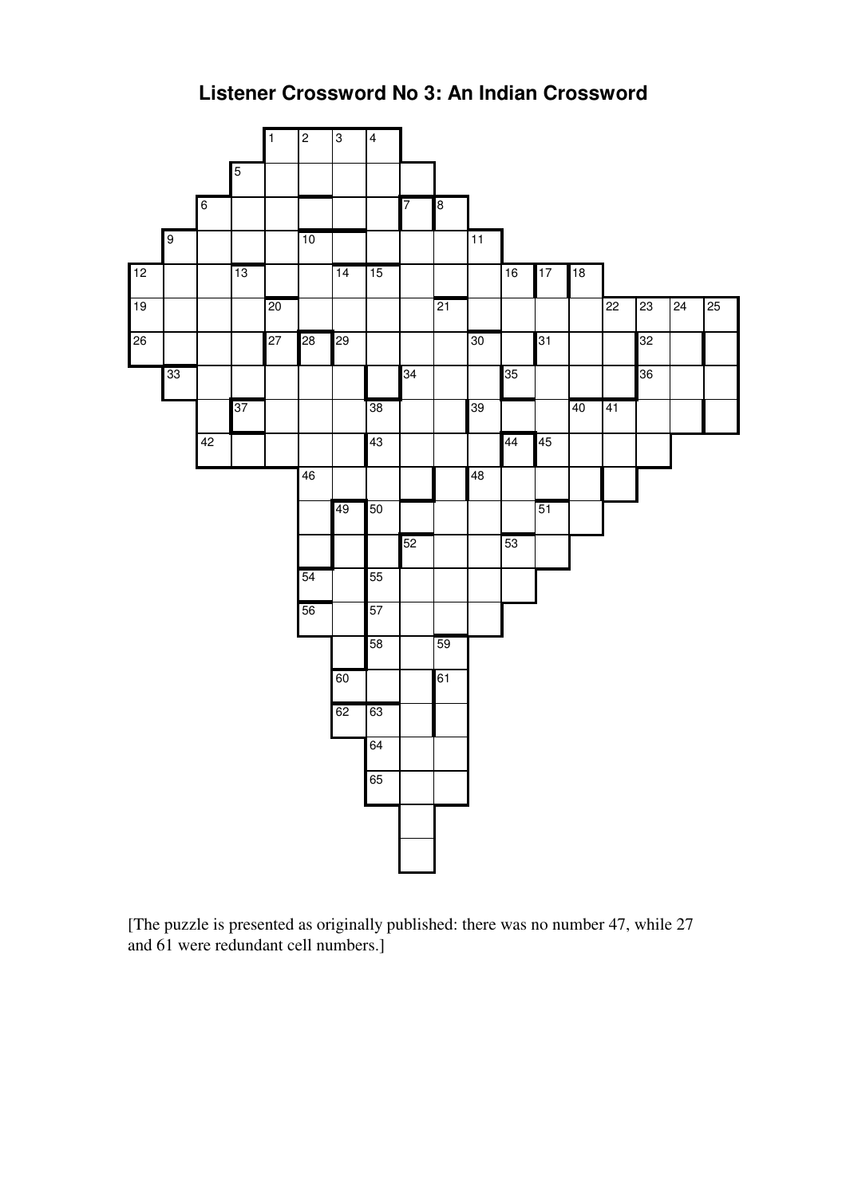



[The puzzle is presented as originally published: there was no number 47, while 27 and 61 were redundant cell numbers.]